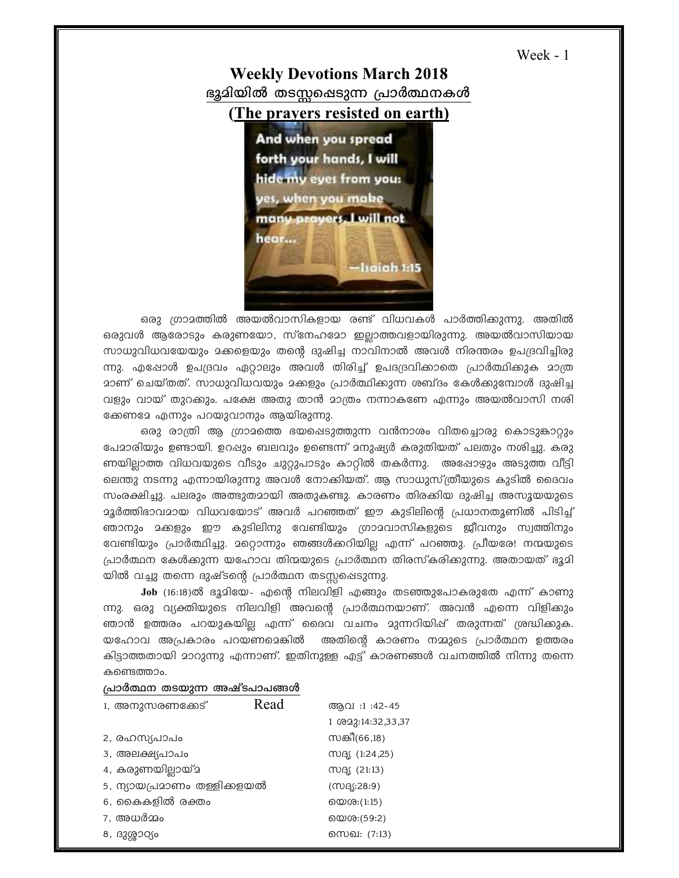```
Week - 1
```
## **Weekly Devotions March 2018** ഭൂമിയിൽ തടസ്സഷെടുന്ന പ്രാർത്ഥനകൾ



ഒരു ഗ്രാമത്തിൽ അയൽവാസികളായ രണ്ട് വിധവകൾ പാർത്തിക്കുന്നു. അതിൽ ഒരുവൾ ആരോടും കരുണയോ, സ്നേഹമോ ഇല്ലാത്തവളായിരുന്നു. അയൽവാസിയായ സാധുവിധവയേയും മക്കളെയും തന്റെ ദുഷിച്ച നാവിനാൽ അവൾ നിരന്തരം ഉപദ്രവിച്ചിരു ന്നു. എപ്പോൾ ഉപദ്രവം ഏറ്റാലും അവൾ തിരിച്ച് ഉപദദ്രവിക്കാതെ പ്രാർത്ഥിക്കുക മാത്ര മാണ് ചെയ്തത്. സാധുവിധവയും മക്കളും പ്രാർത്ഥിക്കുന്ന ശബ്ദം കേൾക്കുമ്പോൾ ദുഷിച്ച വളും വായ് തുറക്കും. പക്ഷേ അതു താൻ മാത്രം നന്നാകണേ എന്നും അയൽവാസി നശി ക്കേണമേ എന്നും പറയുവാനും ആയിരുന്നു.

ഒരു രാത്രി ആ ഗ്രാമത്തെ ഭയപ്പെടുത്തുന്ന വൻനാശം വിതച്ചൊരു കൊടുങ്കാറ്റും പേമാരിയും ഉണ്ടായി. ഉറപ്പും ബലവും ഉണ്ടെന്ന് മനുഷ്യർ കരുതിയത് പലതും നശിച്ചു. കരു ണയില്ലാത്ത വിധവയുടെ വീടും ചുറ്റുപാടും കാറ്റിൽ തകർന്നു. അഷോഴും അടുത്ത വീട്ടി ലെന്തു നടന്നു എന്നായിരുന്നു അവൾ നോക്കിയത്. ആ സാധുസ്ത്രീയുടെ കുടിൽ ദൈവം സംരക്ഷിച്ചു. പലരും അത്ഭുതമായി അതുകണ്ടു. കാരണം തിരക്കിയ ദുഷിച്ച അസൂയയുടെ മൂർത്തിഭാവമായ വിധവയോട് അവർ പറഞ്ഞത് ഈ കുടിലിന്റെ പ്രധാനതൃണിൽ പിടിച്ച് ഞാനും മക്കളും ഈ കുടിലിനു വേണ്ടിയും ഗ്രാമവാസികളുടെ ജീവനും സ്വത്തിനും വേണ്ടിയും പ്രാർത്ഥിച്ചു. മറ്റൊന്നും ഞങ്ങൾക്കറിയില്ല എന്ന് പറഞ്ഞു. പ്രീയരേ! നന്മയുടെ പ്രാർത്ഥന കേൾക്കുന്ന യഹോവ തിന്മയുടെ പ്രാർത്ഥന തിരസ്കരിക്കുന്നു. അതായത് ഭൂദി യിൽ വച്ചു തന്നെ ദുഷ്ടന്റെ പ്രാർത്ഥന തടസ്സപ്പെടുന്നു.

Job (16:18)ൽ ഭൂമിയേ- എന്റെ നിലവിളി എങ്ങും തടഞ്ഞുപോകരുതേ എന്ന് കാണു ന്നു. ഒരു വ്യക്തിയുടെ നിലവിളി അവന്റെ പ്രാർത്ഥനയാണ്. അവൻ എന്നെ വിളികും ഞാൻ ഉത്തരം പറയുകയില്ല എന്ന് ദൈവ വചനം മുന്നറിയിഷ് തരുന്നത് ശ്രദ്ധിക്കുക. യഹോവ അപ്രകാരം പറയണമെങ്കിൽ അതിന്റെ കാരണം നമ്മുടെ പ്രാർത്ഥന ഉത്തരം കിട്ടാത്തതായി മാറുന്നു എന്നാണ്. ഇതിനുള്ള എട്ട് കാരണങ്ങൾ വചനത്തിൽ നിന്നു തന്നെ കണ്ടെത്താം.

## പ്രാർത്ഥന തടയുന്ന അഷ്ടപാപങ്ങൾ

| 1, അനുസരണക്കേട്             | Read | ആവ :1:42-45                      |
|-----------------------------|------|----------------------------------|
|                             |      | 1 0 0 2 3 : 14 : 3 2 , 3 3 , 3 7 |
| 2, രഹസ്യപാപം                |      | സങ്കീ(66,18)                     |
| 3, അലക്ഷ്യപാപം              |      | MBS (1:24,25)                    |
| 4, കരുണയില്ലായ്മ            |      | $M_S$ (21:13)                    |
| 5, ന്യായപ്രമാണം തള്ളിക്കളയൽ |      | (MRS:28:9)                       |
| 6, കൈകളിൽ രക്തം             |      | യെശ:(1:15)                       |
| 7. അധർമ്മം                  |      | യെശ:(59:2)                       |
| 8, ദുശ്ശാഠ്യം               |      | സെഖ: (7:13)                      |